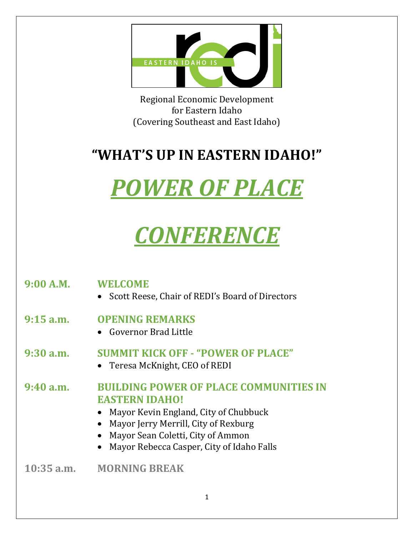

Regional Economic Development for Eastern Idaho (Covering Southeast and East Idaho)

#### **"WHAT'S UP IN EASTERN IDAHO!"**

# *POWER OF PLACE*

# *CONFERENCE*

| 9:00 A.M.    | <b>WELCOME</b><br>Scott Reese, Chair of REDI's Board of Directors                                                                                                                                                                         |
|--------------|-------------------------------------------------------------------------------------------------------------------------------------------------------------------------------------------------------------------------------------------|
| $9:15$ a.m.  | <b>OPENING REMARKS</b><br>• Governor Brad Little                                                                                                                                                                                          |
| $9:30$ a.m.  | <b>SUMMIT KICK OFF - "POWER OF PLACE"</b><br>• Teresa McKnight, CEO of REDI                                                                                                                                                               |
| 9:40a.m.     | <b>BUILDING POWER OF PLACE COMMUNITIES IN</b><br><b>EASTERN IDAHO!</b><br>Mayor Kevin England, City of Chubbuck<br>Mayor Jerry Merrill, City of Rexburg<br>Mayor Sean Coletti, City of Ammon<br>Mayor Rebecca Casper, City of Idaho Falls |
| $10:35$ a.m. | <b>MORNING BREAK</b>                                                                                                                                                                                                                      |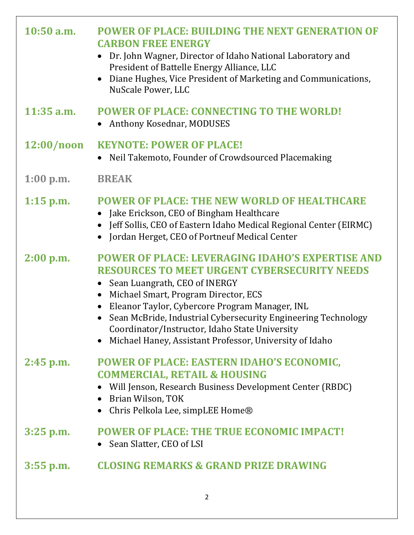| $10:50$ a.m. | <b>POWER OF PLACE: BUILDING THE NEXT GENERATION OF</b><br><b>CARBON FREE ENERGY</b><br>Dr. John Wagner, Director of Idaho National Laboratory and<br>$\bullet$<br>President of Battelle Energy Alliance, LLC<br>Diane Hughes, Vice President of Marketing and Communications,<br>$\bullet$<br>NuScale Power, LLC                                                                                                                                                                         |
|--------------|------------------------------------------------------------------------------------------------------------------------------------------------------------------------------------------------------------------------------------------------------------------------------------------------------------------------------------------------------------------------------------------------------------------------------------------------------------------------------------------|
| $11:35$ a.m. | <b>POWER OF PLACE: CONNECTING TO THE WORLD!</b><br>Anthony Kosednar, MODUSES                                                                                                                                                                                                                                                                                                                                                                                                             |
| 12:00/noon   | <b>KEYNOTE: POWER OF PLACE!</b><br>Neil Takemoto, Founder of Crowdsourced Placemaking<br>$\bullet$                                                                                                                                                                                                                                                                                                                                                                                       |
| $1:00$ p.m.  | <b>BREAK</b>                                                                                                                                                                                                                                                                                                                                                                                                                                                                             |
| $1:15$ p.m.  | <b>POWER OF PLACE: THE NEW WORLD OF HEALTHCARE</b><br>Jake Erickson, CEO of Bingham Healthcare<br>Jeff Sollis, CEO of Eastern Idaho Medical Regional Center (EIRMC)<br>$\bullet$<br>Jordan Herget, CEO of Portneuf Medical Center<br>$\bullet$                                                                                                                                                                                                                                           |
| $2:00$ p.m.  | <b>POWER OF PLACE: LEVERAGING IDAHO'S EXPERTISE AND</b><br><b>RESOURCES TO MEET URGENT CYBERSECURITY NEEDS</b><br>Sean Luangrath, CEO of INERGY<br>$\bullet$<br>Michael Smart, Program Director, ECS<br>$\bullet$<br>Eleanor Taylor, Cybercore Program Manager, INL<br>$\bullet$<br>Sean McBride, Industrial Cybersecurity Engineering Technology<br>$\bullet$<br>Coordinator/Instructor, Idaho State University<br>Michael Haney, Assistant Professor, University of Idaho<br>$\bullet$ |
| $2:45$ p.m.  | POWER OF PLACE: EASTERN IDAHO'S ECONOMIC,<br><b>COMMERCIAL, RETAIL &amp; HOUSING</b><br>Will Jenson, Research Business Development Center (RBDC)<br>Brian Wilson, TOK<br>$\bullet$<br>Chris Pelkola Lee, simpLEE Home®<br>$\bullet$                                                                                                                                                                                                                                                      |
| $3:25$ p.m.  | <b>POWER OF PLACE: THE TRUE ECONOMIC IMPACT!</b><br>Sean Slatter, CEO of LSI                                                                                                                                                                                                                                                                                                                                                                                                             |
| $3:55$ p.m.  | <b>CLOSING REMARKS &amp; GRAND PRIZE DRAWING</b>                                                                                                                                                                                                                                                                                                                                                                                                                                         |
|              | $\overline{2}$                                                                                                                                                                                                                                                                                                                                                                                                                                                                           |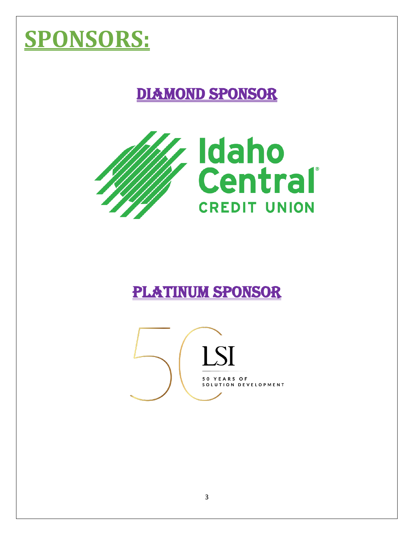## **SPONSORS:**

## DIAMOND SPONSOR



#### PLATINUM SPONSOR

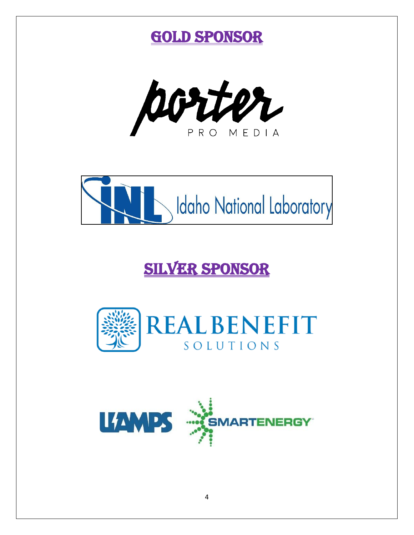





## SILVER SPONSOR



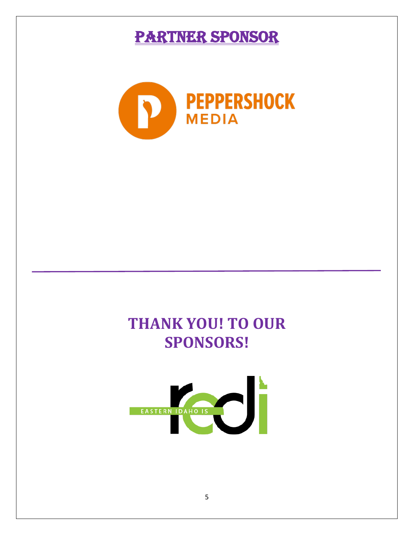#### PARTNER SPONSOR



#### **THANK YOU! TO OUR SPONSORS!**

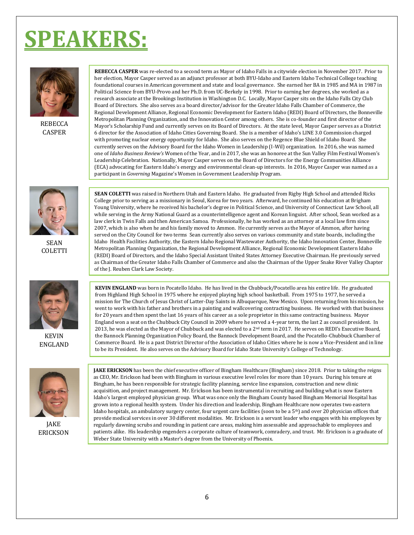## **EAKERS:**



**REBECCA** CASPER

**REBECCA CASPER** was re-elected to a second term as Mayor of Idaho Falls in a citywide election in November 2017. Prior to her election, Mayor Casper served as an adjunct professor at both BYU-Idaho and Eastern Idaho Technical College teaching foundational courses in American government and state and local governance. She earned her BA in 1985 and MA in 1987 in Political Science from BYU-Provo and her Ph.D. from UC-Berkely in 1998. Prior to earning her degrees, she worked as a research associate at the Brookings Institution in Washington D.C. Locally, Mayor Casper sits on the Idaho Falls City Club Board of Directors. She also serves as a board director/advisor for the Greater Idaho Falls Chamber of Commerce, the Regional Development Alliance, Regional Economic Development for Eastern Idaho (REDI) Board of Directors, the Bonneville Metropolitan Planning Organization, and the Innovation Center among others. She is co-founder and first director of the Mayor's Scholarship Fund and currently serves on its Board of Directors. At the state level, Mayor Casper serves as a District 6 director for the Association of Idaho Cities Governing Board. She is a member of Idaho's LINE 3.0 Commission charged with promoting nuclear energy opportunity for Idaho. She also serves on the Regence Blue Shield of Idaho Board. She currently serves on the Advisory Board for the Idaho Women in Leadership (I-Wil) organization. In 2016, she was named one of *Idaho Business Review's* Women of the Year, and in 2017, she was an honoree at the Sun Valley Film Festival Women's Leadership Celebration. Nationally, Mayor Casper serves on the Board of Directors for the Energy Communities Alliance (ECA) advocating for Eastern Idaho's energy and environmental clean-up interests. In 2016, Mayor Casper was named as a participant in *Governing* Magazine's Women in Government Leadership Program.



SEAN COLETTI



KEVIN ENGLAND



JAKE ERICKSON

**SEAN COLETTI** was raised in Northern Utah and Eastern Idaho. He graduated from Rigby High School and attended Ricks College prior to serving as a missionary in Seoul, Korea for two years. Afterward, he continued his education at Brigham Young University, where he received his bachelor's degree in Political Science, and University of Connecticut Law School, all while serving in the Army National Guard as a counterintelligence agent and Korean linguist. After school, Sean worked as a law clerk in Twin Falls and then American Samoa. Professionally, he has worked as an attorney at a local law firm since 2007, which is also when he and his family moved to Ammon. He currently serves as the Mayor of Ammon, after having served on the City Council for two terms Sean currently also serves on various community and state boards, including the Idaho Health Facilities Authority, the Eastern Idaho Regional Wastewater Authority, the Idaho Innovation Center, Bonneville Metropolitan Planning Organization, the Regional Development Alliance, Regional Economic Development Eastern Idaho (REDI) Board of Directors, and the Idaho Special Assistant United States Attorney Executive Chairman. He previously served as Chairman of the Greater Idaho Falls Chamber of Commerce and also the Chairman of the Upper Snake River Valley Chapter of the J. Reuben Clark Law Society.

**KEVIN ENGLAND** was born in Pocatello Idaho. He has lived in the Chubbuck/Pocatello area his entire life. He graduated from Highland High School in 1975 where he enjoyed playing high school basketball. From 1975 to 1977, he served a mission for The Church of Jesus Christ of Latter-Day Saints in Albuquerque, New Mexico. Upon returning from his mission, he went to work with his father and brothers in a painting and wallcovering contracting business. He worked with that business for 20 years and then spent the last 16 years of his career as a sole proprietor in this same contracting business. Mayor England won a seat on the Chubbuck City Council in 2009 where he served a 4-year term, the last 2 as council president. In 2013, he was elected as the Mayor of Chubbuck and was elected to a  $2^{nd}$  term in 2017. He serves on REDI's Executive Board, the Bannock Planning Organization Policy Board, the Bannock Development Board, and the Pocatello-Chubbuck Chamber of Commerce Board. He is a past District Director of the Association of Idaho Cities where he is now a Vice-President and in line to be its President. He also serves on the Advisory Board for Idaho State University's College of Technology.

**JAKE ERICKSON** has been the chief executive officer of Bingham Healthcare (Bingham) since 2018. Prior to taking the reigns as CEO, Mr. Erickson had been with Bingham in various executive level roles for more than 10 years. During his tenure at Bingham, he has been responsible for strategic facility planning, service line expansion, construction and new clinic acquisition, and project management. Mr. Erickson has been instrumental in recruiting and building what is now Eastern Idaho's largest employed physician group. What was once only the Bingham County based Bingham Memorial Hospital has grown into a regional health system. Under his direction and leadership, Bingham Healthcare now operates two eastern Idaho hospitals, an ambulatory surgery center, four urgent care facilities (soon to be a 5th) and over 20 physician offices that provide medical services in over 30 different modalities. Mr. Erickson is a servant leader who engages with his employees by regularly dawning scrubs and rounding in patient care areas, making him assessable and approachable to employees and patients alike. His leadership engenders a corporate culture of teamwork, comradery, and trust. Mr. Erickson is a graduate of Weber State University with a Master's degree from the University of Phoenix.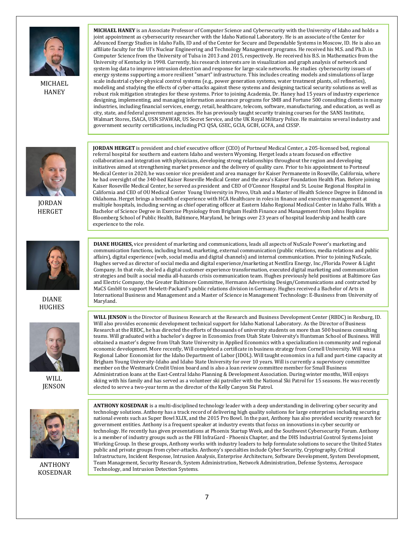

MICHAEL **HANEY** 

**MICHAEL HANEY** is an Associate Professor of Computer Science and Cybersecurity with the University of Idaho and holds a joint appointment as cybersecurity researcher with the Idaho National Laboratory. He is an associate of the Center for Advanced Energy Studies in Idaho Falls, ID and of the Center for Secure and Dependable Systems in Moscow, ID. He is also an affiliate faculty for the UI's Nuclear Engineering and Technology Management programs. He received his M.S. and Ph.D. in Computer Science from the University of Tulsa in 2013 and 2015, respectively. He received his B.S. in Mathematics from the University of Kentucky in 1998. Currently, his research interests are in visualization and graph analysis of network and system log data to improve intrusion detection and response for large-scale networks. He studies cybersecurity issues of energy systems supporting a more resilient "smart" infrastructure. This includes creating models and simulations of large scale industrial cyber-physical control systems (e.g., power generation systems, water treatment plants, oil refineries), modeling and studying the effects of cyber-attacks against these systems and designing tactical security solutions as well as robust risk mitigation strategies for these systems. Prior to joining Academia, Dr. Haney had 15 years of industry experience designing, implementing, and managing information assurance programs for SMB and Fortune 500 consulting clients in many industries, including financial services, energy, retail, healthcare, telecom, software, manufacturing, and education, as well as city, state, and federal government agencies. He has previously taught security training courses for the SANS Institute, Walmart Stores, ISACA, USN SPAWAR, US Secret Service, and the UK Royal Military Police. He maintains several industry and government security certifications, including PCI QSA, GSEC, GCIA, GCIH, GCFA, and CISSP.



JORDAN HERGET



DIANE HUGHES



WILL **JENSON** 



ANTHONY KOSEDNAR

**JORDAN HERGET** is president and chief executive officer (CEO) of Portneuf Medical Center, a 205-licensed bed, regional referral hospital for southern and eastern Idaho and western Wyoming. Herget leads a team focused on effective collaboration and integration with physicians, developing strong relationships throughout the region and developing initiatives aimed at strengthening market presence and the delivery of quality care. Prior to his appointment to Portneuf Medical Center in 2020, he was senior vice president and area manager for Kaiser Permanente in Roseville, California, where he had oversight of the 340-bed Kaiser Roseville Medical Center and the area's Kaiser Foundation Health Plan. Before joining Kaiser Roseville Medical Center, he served as president and CEO of O'Connor Hospital and St. Louise Regional Hospital in California and CEO of OU Medical Center Young University in Provo, Utah and a Master of Health Science Degree in Edmond in Oklahoma. Herget brings a breadth of experience with HCA Healthcare in roles in finance and executive management at multiple hospitals, including serving as chief operating officer at Eastern Idaho Regional Medical Center in Idaho Falls. With a Bachelor of Science Degree in Exercise Physiology from Brigham Health Finance and Management from Johns Hopkins Bloomberg School of Public Health, Baltimore, Maryland, he brings over 23 years of hospital leadership and health care experience to the role.

**DIANE HUGHES,** vice president of marketing and communications, leads all aspects of NuScale Power's marketing and communication functions, including brand, marketing, external communication (public relations, media relations and public affairs), digital experience (web, social media and digital channels) and internal communication. Prior to joining NuScale, Hughes served as director of social media and digital experience/marketing at NextEra Energy, Inc./Florida Power & Light Company. In that role, she led a digital customer experience transformation, executed digital marketing and communication strategies and built a social media all-hazards crisis communication team. Hughes previously held positions at Baltimore Gas and Electric Company, the Greater Baltimore Committee, Hermann Advertising Design/Communications and contracted by MaCS GmbH to support Hewlett-Packard's public relations division in Germany. Hughes received a Bachelor of Arts in International Business and Management and a Master of Science in Management Technology: E-Business from University of Maryland.

**WILL JENSON** is the Director of Business Research at the Research and Business Development Center (RBDC) in Rexburg, ID. Will also provides economic development technical support for Idaho National Laboratory. As the Director of Business Research at the RBDC, he has directed the efforts of thousands of university students on more than 500 business consulting teams. Will graduated with a bachelor's degree in Economics from Utah State University's Huntsman School of Business. Will obtained a master's degree from Utah State University in Applied Economics with a specialization in community and regional economic development. More recently, Will completed a certificate in business strategy from Cornell University. Will was a Regional Labor Economist for the Idaho Department of Labor (IDOL). Will taught economics in a full and part-time capacity at Brigham Young University-Idaho and Idaho State University for over 10 years. Will is currently a supervisory committee member on the Westmark Credit Union board and is also a loan review committee member for Small Business Administration loans at the East-Central Idaho Planning & Development Association. During winter months, Will enjoys skiing with his family and has served as a volunteer ski patroller with the National Ski Patrol for 15 seasons. He was recently elected to serve a two-year term as the director of the Kelly Canyon Ski Patrol.

**ANTHONY KOSEDNAR** is a multi-disciplined technology leader with a deep understanding in delivering cyber security and technology solutions. Anthony has a track record of delivering high quality solutions for large enterprises including securing national events such as Super Bowl XLIX, and the 2015 Pro Bowl. In the past, Anthony has also provided security research for government entities. Anthony is a frequent speaker at industry events that focus on innovations in cyber security or technology. He recently has given presentations at Phoenix Startup Week, and the Southwest Cybersecurity Forum. Anthony is a member of industry groups such as the FBI InfraGard - Phoenix Chapter, and the DHS Industrial Control Systems Joint Working Group. In these groups, Anthony works with industry leaders to help formulate solutions to secure the United States public and private groups from cyber-attacks. Anthony's specialties include Cyber Security, Cryptography, Critical Infrastructure, Incident Response, Intrusion Analysis, Enterprise Architecture, Software Development, System Development, Team Management, Security Research, System Administration, Network Administration, Defense Systems, Aerospace Technology, and Intrusion Detection Systems.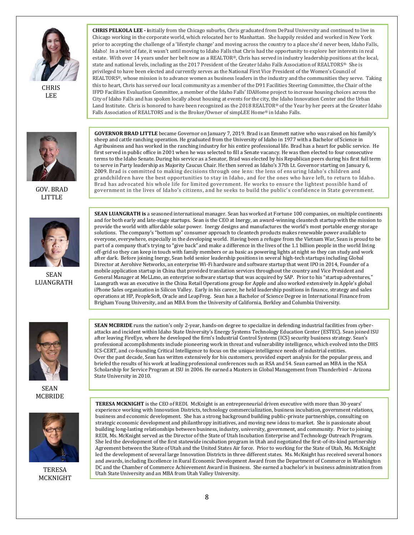

**CHRIS** LEE



GOV. BRAD LITTLE



SEAN LUANGRATH

**CHRIS PELKOLA LEE - i**nitially from the Chicago suburbs, Chris graduated from DePaul University and continued to live in Chicago working in the corporate world, which relocated her to Manhattan. She happily resided and worked in New York prior to accepting the challenge of a 'lifestyle change' and moving across the country to a place she'd never been, Idaho Falls, Idaho! In a twist of fate, it wasn't until moving to Idaho Falls that Chris had the opportunity to explore her interests in real estate. With over 14 years under her belt now as a REALTOR®, Chris has served in industry leadership positions at the local, state and national levels, including as the 2017 President of the Greater Idaho Falls Association of REALTORS®. She is privileged to have been elected and currently serves as the National First Vice President of the Women's Council of REALTORS®, whose mission is to advance women as business leaders in the industry and the communities they serve. Taking this to heart, Chris has served our local community as a member of the D91 Facilities Steering Committee, the Chair of the IFPD Facilities Evaluation Committee, a member of the Idaho Falls' IDAHome project to increase housing choices across the City of Idaho Falls and has spoken locally about housing at events for the city, the Idaho Innovation Center and the Urban Land Institute. Chris is honored to have been recognized as the 2018 REALTOR® of the Year by her peers at the Greater Idaho Falls Association of REALTORS and is the Broker/Owner of simpLEE Home® in Idaho Falls.

**GOVERNOR BRAD LITTLE** became Governor on January 7, 2019. Brad is an Emmett native who was raised on his family's sheep and cattle ranching operation. He graduated from the University of Idaho in 1977 with a Bachelor of Science in Agribusiness and has worked in the ranching industry for his entire professional life. Brad has a heart for public service. He first served in public office in 2001 when he was selected to fill a Senate vacancy. He was then elected to four consecutive terms to the Idaho Senate. During his service as a Senator, Brad was elected by his Republican peers during his first full term to serve in Party leadership as Majority Caucus Chair. He then served as Idaho's 37th Lt. Governor starting on January 6, 2009. Brad is committed to making decisions through one lens: the lens of ensuring Idaho's children and grandchildren have the best opportunities to stay in Idaho, and for the ones who have left, to return to Idaho. Brad has advocated his whole life for limited government. He works to ensure the lightest possible hand of government in the lives of Idaho's citizens, and he seeks to build the public's confidence in State government.

**SEAN LUANGRATH is** a seasoned international manager. Sean has worked at Fortune 100 companies, on multiple continents and for both early and late-stage startups. Sean is the CEO at Inergy, an award-winning cleantech startup with the mission to provide the world with affordable solar power. Inergy designs and manufactures the world's most portable energy storage solutions. The company's "bottom up" consumer approach to cleantech products makes renewable power available to everyone, everywhere, especially in the developing world. Having been a refugee from the Vietnam War, Sean is proud to be part of a company that's trying to "give back" and make a difference in the lives of the 1.1 billion people in the world living off-grid so they can keep in touch with family members or as basic as powering lights at night so they can study and work after dark. Before joining Inergy, Sean held senior leadership positions in several high-tech startups including Global Director at Aerohive Networks, an enterprise Wi-Fi hardware and software startup that went IPO in 2014, Founder of a mobile application startup in China that provided translation services throughout the country and Vice President and General Manager at MeLLmo, an enterprise software startup that was acquired by SAP. Prior to his "startup adventures," Luangrath was an executive in the China Retail Operations group for Apple and also worked extensively in Apple's global iPhone Sales organization in Silicon Valley. Early in his career, he held leadership positions in finance, strategy and sales operations at HP, PeopleSoft, Oracle and LeapFrog. Sean has a Bachelor of Science Degree in International Finance from Brigham Young University, and an MBA from the University of California, Berkley and Columbia University.



SEAN MCBRIDE



TERESA MCKNIGHT

**SEAN MCBRIDE** runs the nation's only 2-year, hands-on degree to specialize in defending industrial facilities from cyberattacks and incident within Idaho State University's Energy Systems Technology Education Center (ESTEC). Sean joined ISU after leaving FireEye, where he developed the firm's Industrial Control Systems (ICS) security business strategy. Sean's professional accomplishments include pioneering work in threat and vulnerability intelligence, which evolved into the DHS ICS-CERT, and co-founding Critical Intelligence to focus on the unique intelligence needs of industrial entities. Over the past decade, Sean has written extensively for his customers, provided expert analysis for the popular press, and briefed the results of his work at leading professional conferences such as RSA and S4. Sean earned an MBA in the NSA Scholarship for Service Program at ISU in 2006. He earned a Masters in Global Management from Thunderbird – Arizona State University in 2010.

**TERESA MCKNIGHT** is the CEO of REDI. McKnight is an entrepreneurial driven executive with more than 30-years' experience working with Innovation Districts, technology commercialization, business incubation, government relations, business and economic development. She has a strong background building public-private partnerships, consulting on strategic economic development and philanthropy initiatives, and moving new ideas to market. She is passionate about building long-lasting relationships between business, industry, university, government, and community. Prior to joining REDI, Ms. McKnight served as the Director of the State of Utah Incubation Enterprise and Technology Outreach Program. She led the development of the first statewide incubation program in Utah and negotiated the first-of-its-kind partnership Agreement between the State of Utah and the United States Air force. Prior to working for the State of Utah, Ms. McKnight led the development of several large Innovation Districts in three different states. Ms. McKnight has received several honors and awards, including Excellence in Rural Economic Development Award from the Department of Commerce in Washington DC and the Chamber of Commerce Achievement Award in Business. She earned a bachelor's in business administration from Utah State University and an MBA from Utah Valley University.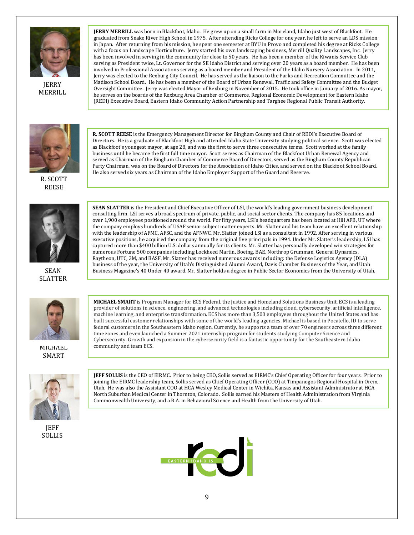

**JERRY** MERRILL

**JERRY MERRILL** was born in Blackfoot, Idaho. He grew up on a small farm in Moreland, Idaho just west of Blackfoot. He graduated from Snake River High School in 1975. After attending Ricks College for one year, he left to serve an LDS mission in Japan. After returning from his mission, he spent one semester at BYU in Provo and completed his degree at Ricks College with a focus on Landscape Horticulture. Jerry started his own landscaping business, Merrill Quality Landscapes, Inc. Jerry has been involved in serving in the community for close to 50 years. He has been a member of the Kiwanis Service Club serving as President twice, Lt. Governor for the SE Idaho District and serving over 20 years as a board member. He has been involved in Professional Associations serving as a board member and President of the Idaho Nursery Association. In 2011, Jerry was elected to the Rexburg City Council. He has served as the liaison to the Parks and Recreation Committee and the Madison School Board. He has been a member of the Board of Urban Renewal, Traffic and Safety Committee and the Budget Oversight Committee. Jerry was elected Mayor of Rexburg in November of 2015. He took office in January of 2016. As mayor, he serves on the boards of the Rexburg Area Chamber of Commerce, Regional Economic Development for Eastern Idaho (REDI) Executive Board, Eastern Idaho Community Action Partnership and Targhee Regional Public Transit Authority.



R. SCOTT REESE



SEAN SLATTER



SMART

JEFF SOLLIS

**R. SCOTT REESE** is the Emergency Management Director for Bingham County and Chair of REDI's Executive Board of Directors. He is a graduate of Blackfoot High and attended Idaho State University studying political science. Scott was elected as Blackfoot's youngest mayor, at age 28, and was the first to serve three consecutive terms. Scott worked at the family business until he became the first full time mayor. Scott serves as Chairman of the Blackfoot Urban Renewal Agency and served as Chairman of the Bingham Chamber of Commerce Board of Directors, served as the Bingham County Republican Party Chairman, was on the Board of Directors for the Association of Idaho Cities, and served on the Blackfoot School Board. He also served six years as Chairman of the Idaho Employer Support of the Guard and Reserve.

**SEAN SLATTER** is the President and Chief Executive Officer of LSI, the world's leading government business development consulting firm. LSI serves a broad spectrum of private, public, and social sector clients. The company has 85 locations and over 1,900 employees positioned around the world. For fifty years, LSI's headquarters has been located at Hill AFB, UT where the company employs hundreds of USAF senior subject matter experts. Mr. Slatter and his team have an excellent relationship with the leadership of AFMC, AFSC, and the AFNWC. Mr. Slatter joined LSI as a consultant in 1992. After serving in various executive positions, he acquired the company from the original five principals in 1994. Under Mr. Slatter's leadership, LSI has captured more than \$400 billion U.S. dollars annually for its clients. Mr. Slatter has personally developed win strategies for numerous Fortune 500 companies including Lockheed Martin, Boeing, BAE, Northrop Grumman, General Dynamics, Raytheon, UTC, 3M, and BASF. Mr. Slatter has received numerous awards including: the Defense Logistics Agency (DLA) business of the year, the University of Utah's Distinguished Alumni Award, Davis Chamber Business of the Year, and Utah Business Magazine's 40 Under 40 award. Mr. Slatter holds a degree in Public Sector Economics from the University of Utah.

**MICHAEL SMART** is Program Manager for ECS Federal, the Justice and Homeland Solutions Business Unit. ECS is a leading provider of solutions in science, engineering, and advanced technologies including cloud, cybersecurity, artificial intelligence, machine learning, and enterprise transformation. ECS has more than 3,500 employees throughout the United States and has built successful customer relationships with some of the world's leading agencies. Michael is based in Pocatello, ID to serve federal customers in the Southeastern Idaho region. Currently, he supports a team of over 70 engineers across three different time zones and even launched a Summer 2021 internship program for students studying Computer Science and Cybersecurity. Growth and expansion in the cybersecurity field is a fantastic opportunity for the Southeastern Idaho MILHAEL community and team ECS.

> **JEFF SOLLIS** is the CEO of EIRMC. Prior to being CEO, Sollis served as EIRMC's Chief Operating Officer for four years. Prior to joining the EIRMC leadership team, Sollis served as Chief Operating Officer (COO) at Timpanogos Regional Hospital in Orem, Utah. He was also the Assistant COO at HCA Wesley Medical Center in Wichita, Kansas and Assistant Administrator at HCA North Suburban Medical Center in Thornton, Colorado. Sollis earned his Masters of Health Administration from Virginia



Commonwealth University, and a B.A. in Behavioral Science and Health from the University of Utah.